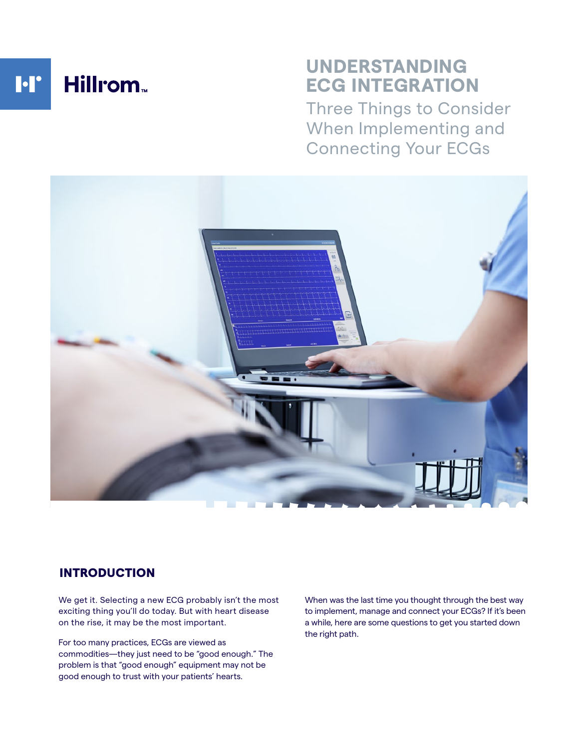

# **UNDERSTANDING ECG INTEGRATION**

Three Things to Consider When Implementing and Connecting Your ECGs



# INTRODUCTION

We get it. Selecting a new ECG probably isn't the most exciting thing you'll do today. But with heart disease on the rise, it may be the most important.

For too many practices, ECGs are viewed as commodities—they just need to be "good enough." The problem is that "good enough" equipment may not be good enough to trust with your patients' hearts.

When was the last time you thought through the best way to implement, manage and connect your ECGs? If it's been a while, here are some questions to get you started down the right path.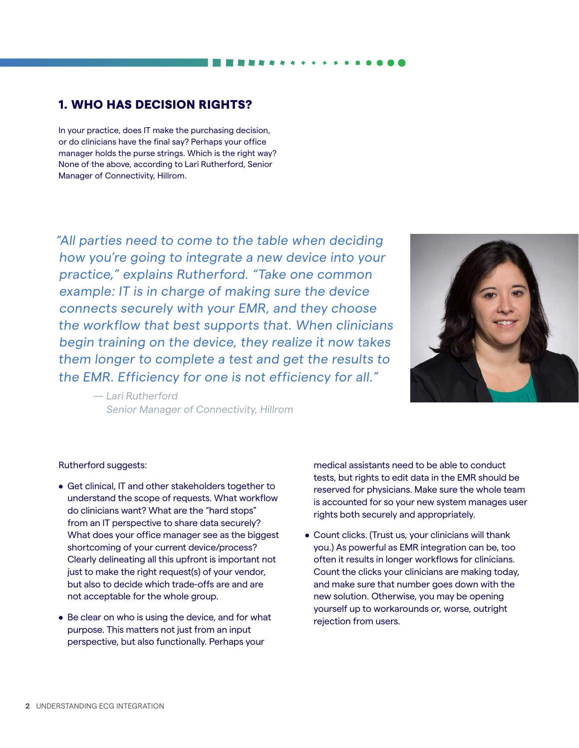## 1. WHO HAS DECISION RIGHTS?

In your practice, does IT make the purchasing decision, or do clinicians have the final say? Perhaps your office manager holds the purse strings. Which is the right way? None of the above, according to Lari Rutherford, Senior Manager of Connectivity, Hillrom.

"All parties need to come to the table when deciding how you're going to integrate a new device into your practice," explains Rutherford. "Take one common example: IT is in charge of making sure the device connects securely with your EMR, and they choose the workflow that best supports that. When clinicians begin training on the device, they realize it now takes them longer to complete a test and get the results to the EMR. Efficiency for one is not efficiency for all."

> — Lari Rutherford Senior Manager of Connectivity, Hillrom



### Rutherford suggests:

- Get clinical, IT and other stakeholders together to understand the scope of requests. What workflow do clinicians want? What are the "hard stops" from an IT perspective to share data securely? What does your office manager see as the biggest shortcoming of your current device/process? Clearly delineating all this upfront is important not just to make the right request(s) of your vendor, but also to decide which trade-offs are and are not acceptable for the whole group.
- Be clear on who is using the device, and for what purpose. This matters not just from an input perspective, but also functionally. Perhaps your

medical assistants need to be able to conduct tests, but rights to edit data in the EMR should be reserved for physicians. Make sure the whole team is accounted for so your new system manages user rights both securely and appropriately.

• Count clicks. (Trust us, your clinicians will thank you.) As powerful as EMR integration can be, too often it results in longer workflows for clinicians. Count the clicks your clinicians are making today, and make sure that number goes down with the new solution. Otherwise, you may be opening yourself up to workarounds or, worse, outright rejection from users.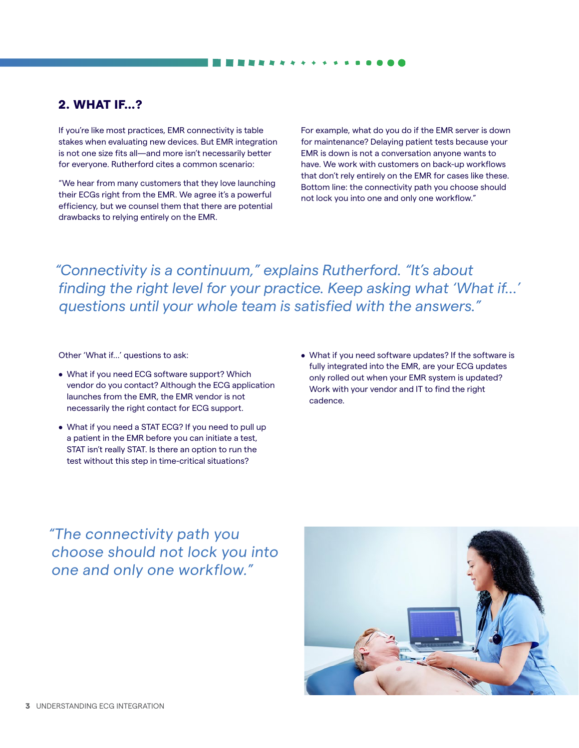## 2. WHAT IF…?

If you're like most practices, EMR connectivity is table stakes when evaluating new devices. But EMR integration is not one size fits all—and more isn't necessarily better for everyone. Rutherford cites a common scenario:

"We hear from many customers that they love launching their ECGs right from the EMR. We agree it's a powerful efficiency, but we counsel them that there are potential drawbacks to relying entirely on the EMR.

For example, what do you do if the EMR server is down for maintenance? Delaying patient tests because your EMR is down is not a conversation anyone wants to have. We work with customers on back-up workflows that don't rely entirely on the EMR for cases like these. Bottom line: the connectivity path you choose should not lock you into one and only one workflow."

*"Connectivity is a continuum," explains Rutherford. "It's about finding the right level for your practice. Keep asking what 'What if…' questions until your whole team is satisfied with the answers."*

Other 'What if…' questions to ask:

- What if you need ECG software support? Which vendor do you contact? Although the ECG application launches from the EMR, the EMR vendor is not necessarily the right contact for ECG support.
- What if you need a STAT ECG? If you need to pull up a patient in the EMR before you can initiate a test, STAT isn't really STAT. Is there an option to run the test without this step in time-critical situations?
- What if you need software updates? If the software is fully integrated into the EMR, are your ECG updates only rolled out when your EMR system is updated? Work with your vendor and IT to find the right cadence.

# "The connectivity path you choose should not lock you into one and only one workflow."